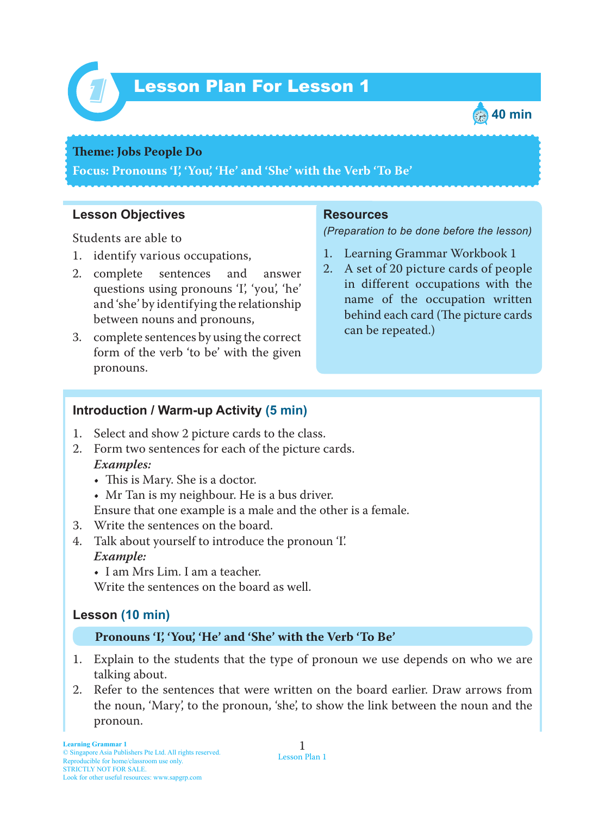

# Lesson Plan For Lesson 1 *1*



#### **Theme: Jobs People** Do

**Focus: Pronouns 'I', 'You', 'He' and 'She' with the Verb 'To Be'**

## **Lesson Objectives**

Students are able to

- 1. identify various occupations,
- 2. complete sentences and answer questions using pronouns 'I', 'you', 'he' and 'she' by identifying the relationship between nouns and pronouns,
- 3. complete sentences by using the correct form of the verb 'to be' with the given pronouns.

#### **Resources**

*(Preparation to be done before the lesson)*

- 1. Learning Grammar Workbook 1
- 2. A set of 20 picture cards of people in different occupations with the name of the occupation written behind each card (The picture cards can be repeated.)

## **Introduction / Warm-up Activity (5 min)**

- 1. Select and show 2 picture cards to the class.
- 2. Form two sentences for each of the picture cards.  *Examples:*
	- This is Mary. She is a doctor.
	- Mr Tan is my neighbour. He is a bus driver.
	- Ensure that one example is a male and the other is a female.
- 3. Write the sentences on the board.
- 4. Talk about yourself to introduce the pronoun 'I'. *Example:*
	- I am Mrs Lim. I am a teacher.

Write the sentences on the board as well.

# **Lesson (10 min)**

#### **Pronouns 'I', 'You', 'He' and 'She' with the Verb 'To Be'**

- 1. Explain to the students that the type of pronoun we use depends on who we are talking about.
- 2. Refer to the sentences that were written on the board earlier. Draw arrows from the noun, 'Mary', to the pronoun, 'she', to show the link between the noun and the pronoun.